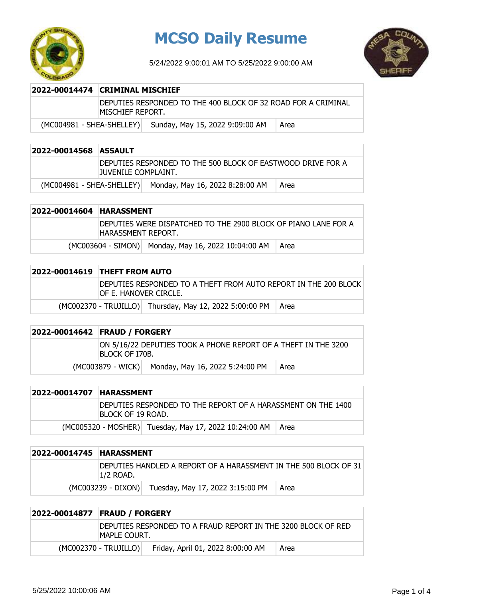

## **MCSO Daily Resume**

5/24/2022 9:00:01 AM TO 5/25/2022 9:00:00 AM



| 2022-00014474 CRIMINAL MISCHIEF                                                   |                                                           |      |
|-----------------------------------------------------------------------------------|-----------------------------------------------------------|------|
| DEPUTIES RESPONDED TO THE 400 BLOCK OF 32 ROAD FOR A CRIMINAL<br>MISCHIEF REPORT. |                                                           |      |
|                                                                                   | (MC004981 - SHEA-SHELLEY) Sunday, May 15, 2022 9:09:00 AM | Area |

| 2022-00014568 ASSAULT |                      |                                                              |      |
|-----------------------|----------------------|--------------------------------------------------------------|------|
|                       | LIUVENILE COMPLAINT. | IDEPUTIES RESPONDED TO THE 500 BLOCK OF EASTWOOD DRIVE FOR A |      |
|                       |                      | (MC004981 - SHEA-SHELLEY) Monday, May 16, 2022 8:28:00 AM    | Area |

| 2022-00014604 HARASSMENT |                                                                                       |                                                     |      |
|--------------------------|---------------------------------------------------------------------------------------|-----------------------------------------------------|------|
|                          | IDEPUTIES WERE DISPATCHED TO THE 2900 BLOCK OF PIANO LANE FOR A<br>HARASSMENT REPORT. |                                                     |      |
|                          |                                                                                       | (MC003604 - SIMON) Monday, May 16, 2022 10:04:00 AM | Area |

| 2022-00014619 THEFT FROM AUTO                                                             |                                                         |      |
|-------------------------------------------------------------------------------------------|---------------------------------------------------------|------|
| DEPUTIES RESPONDED TO A THEFT FROM AUTO REPORT IN THE 200 BLOCK<br>IOF E. HANOVER CIRCLE. |                                                         |      |
|                                                                                           | (MC002370 - TRUJILLO) Thursday, May 12, 2022 5:00:00 PM | Area |

| 2022-00014642 FRAUD / FORGERY                                                    |                                                   |      |
|----------------------------------------------------------------------------------|---------------------------------------------------|------|
| ON 5/16/22 DEPUTIES TOOK A PHONE REPORT OF A THEFT IN THE 3200<br>BLOCK OF I70B. |                                                   |      |
|                                                                                  | (MC003879 - WICK) Monday, May 16, 2022 5:24:00 PM | Area |

| 2022-00014707 HARASSMENT |                                                                                   |  |  |
|--------------------------|-----------------------------------------------------------------------------------|--|--|
|                          | DEPUTIES RESPONDED TO THE REPORT OF A HARASSMENT ON THE 1400<br>BLOCK OF 19 ROAD. |  |  |
|                          | (MC005320 - MOSHER) Tuesday, May 17, 2022 10:24:00 AM<br>Area                     |  |  |

| 2022-00014745 HARASSMENT |                                                                                |                                  |      |
|--------------------------|--------------------------------------------------------------------------------|----------------------------------|------|
|                          | DEPUTIES HANDLED A REPORT OF A HARASSMENT IN THE 500 BLOCK OF 31<br> 1/2 Road. |                                  |      |
|                          | $(MCO03239 - DIXON)$                                                           | Tuesday, May 17, 2022 3:15:00 PM | Area |

| 2022-00014877 FRAUD / FORGERY                                                 |                                   |      |
|-------------------------------------------------------------------------------|-----------------------------------|------|
| DEPUTIES RESPONDED TO A FRAUD REPORT IN THE 3200 BLOCK OF RED<br>MAPLE COURT. |                                   |      |
| (MC002370 - TRUJILLO)                                                         | Friday, April 01, 2022 8:00:00 AM | Area |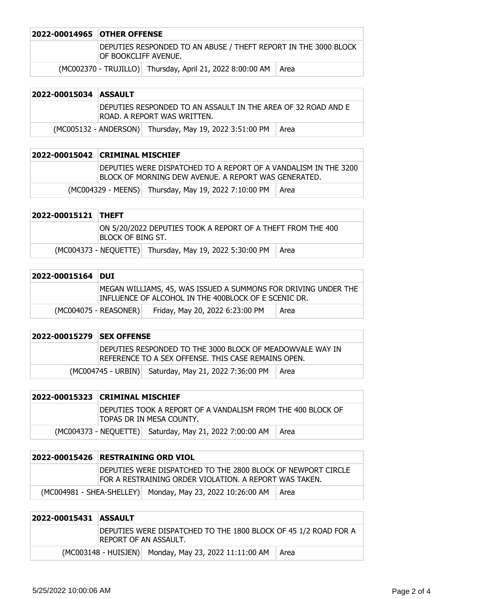| 2022-00014965 OTHER OFFENSE                                                              |                                                           |        |
|------------------------------------------------------------------------------------------|-----------------------------------------------------------|--------|
| DEPUTIES RESPONDED TO AN ABUSE / THEFT REPORT IN THE 3000 BLOCK<br>IOF BOOKCLIFF AVENUE. |                                                           |        |
|                                                                                          | (MC002370 - TRUJILLO) Thursday, April 21, 2022 8:00:00 AM | ∣ Area |

| 2022-00015034 ASSAULT |                                                                                                |                                                         |        |
|-----------------------|------------------------------------------------------------------------------------------------|---------------------------------------------------------|--------|
|                       | IDEPUTIES RESPONDED TO AN ASSAULT IN THE AREA OF 32 ROAD AND E<br>IROAD. A REPORT WAS WRITTEN. |                                                         |        |
|                       |                                                                                                | (MC005132 - ANDERSON) Thursday, May 19, 2022 3:51:00 PM | l Area |

| 2022-00015042 CRIMINAL MISCHIEF |                                                                                                                         |        |
|---------------------------------|-------------------------------------------------------------------------------------------------------------------------|--------|
|                                 | DEPUTIES WERE DISPATCHED TO A REPORT OF A VANDALISM IN THE 3200<br>BLOCK OF MORNING DEW AVENUE. A REPORT WAS GENERATED. |        |
|                                 | (MC004329 - MEENS) Thursday, May 19, 2022 7:10:00 PM                                                                    | l Area |

| 2022-00015121 THEFT |                                                                                  |                                                         |        |
|---------------------|----------------------------------------------------------------------------------|---------------------------------------------------------|--------|
|                     | ON 5/20/2022 DEPUTIES TOOK A REPORT OF A THEFT FROM THE 400<br>BLOCK OF BING ST. |                                                         |        |
|                     |                                                                                  | (MC004373 - NEQUETTE) Thursday, May 19, 2022 5:30:00 PM | l Area |

| 2022-00015164 DUI |                                                                                                                        |      |
|-------------------|------------------------------------------------------------------------------------------------------------------------|------|
|                   | MEGAN WILLIAMS, 45, WAS ISSUED A SUMMONS FOR DRIVING UNDER THE<br>INFLUENCE OF ALCOHOL IN THE 400BLOCK OF E SCENIC DR. |      |
|                   | Friday, May 20, 2022 6:23:00 PM<br>(MC004075 - REASONER)                                                               | Area |

| 2022-00015279 ISEX OFFENSE |                                                                                                                    |  |
|----------------------------|--------------------------------------------------------------------------------------------------------------------|--|
|                            | IDEPUTIES RESPONDED TO THE 3000 BLOCK OF MEADOWVALE WAY IN<br>IREFERENCE TO A SEX OFFENSE. THIS CASE REMAINS OPEN. |  |
|                            | (MC004745 - URBIN) Saturday, May 21, 2022 7:36:00 PM<br>l Area                                                     |  |

| 2022-00015323 CRIMINAL MISCHIEF                                                          |                                                         |      |
|------------------------------------------------------------------------------------------|---------------------------------------------------------|------|
| DEPUTIES TOOK A REPORT OF A VANDALISM FROM THE 400 BLOCK OF<br>ITOPAS DR IN MESA COUNTY. |                                                         |      |
|                                                                                          | (MC004373 - NEQUETTE) Saturday, May 21, 2022 7:00:00 AM | Area |

| 2022-00015426 RESTRAINING ORD VIOL |                                                                                                                        |        |
|------------------------------------|------------------------------------------------------------------------------------------------------------------------|--------|
|                                    | DEPUTIES WERE DISPATCHED TO THE 2800 BLOCK OF NEWPORT CIRCLE<br>FOR A RESTRAINING ORDER VIOLATION. A REPORT WAS TAKEN. |        |
|                                    | (MC004981 - SHEA-SHELLEY) Monday, May 23, 2022 10:26:00 AM                                                             | - Area |

| 2022-00015431  ASSAULT |                                                                                          |                                                       |      |
|------------------------|------------------------------------------------------------------------------------------|-------------------------------------------------------|------|
|                        | DEPUTIES WERE DISPATCHED TO THE 1800 BLOCK OF 45 1/2 ROAD FOR A<br>REPORT OF AN ASSAULT. |                                                       |      |
|                        |                                                                                          | (MC003148 - HUISJEN) Monday, May 23, 2022 11:11:00 AM | Area |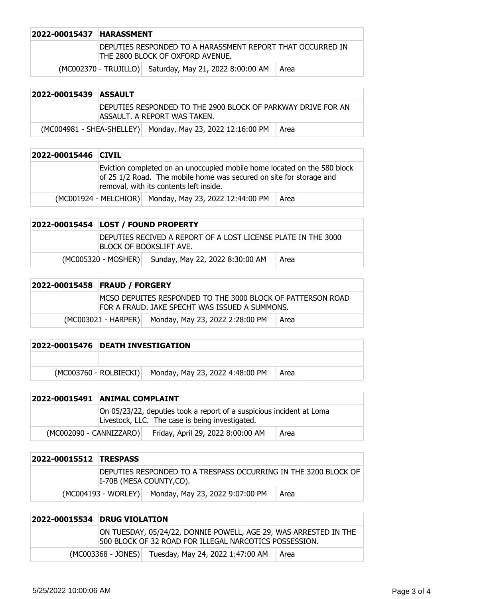| 2022-00015437 | <b>HARASSMENT</b> |                                                                                                 |      |
|---------------|-------------------|-------------------------------------------------------------------------------------------------|------|
|               |                   | IDEPUTIES RESPONDED TO A HARASSMENT REPORT THAT OCCURRED IN<br>THE 2800 BLOCK OF OXFORD AVENUE. |      |
|               |                   | (MC002370 - TRUJILLO) Saturday, May 21, 2022 8:00:00 AM                                         | Area |

| 2022-00015439 ASSAULT |                                                                                                |      |
|-----------------------|------------------------------------------------------------------------------------------------|------|
|                       | IDEPUTIES RESPONDED TO THE 2900 BLOCK OF PARKWAY DRIVE FOR AN<br>IASSAULT. A REPORT WAS TAKEN. |      |
|                       | (MC004981 - SHEA-SHELLEY) Monday, May 23, 2022 12:16:00 PM                                     | Area |

| 2022-00015446 CIVIL |                                                                                                                                                                                            |
|---------------------|--------------------------------------------------------------------------------------------------------------------------------------------------------------------------------------------|
|                     | Eviction completed on an unoccupied mobile home located on the 580 block<br>of 25 1/2 Road. The mobile home was secured on site for storage and<br>removal, with its contents left inside. |
|                     | (MC001924 - MELCHIOR) Monday, May 23, 2022 12:44:00 PM<br>Area                                                                                                                             |

| 2022-00015454 LOST / FOUND PROPERTY                                                      |                                                     |      |
|------------------------------------------------------------------------------------------|-----------------------------------------------------|------|
| DEPUTIES RECIVED A REPORT OF A LOST LICENSE PLATE IN THE 3000<br>BLOCK OF BOOKSLIFT AVE. |                                                     |      |
|                                                                                          | (MC005320 - MOSHER) Sunday, May 22, 2022 8:30:00 AM | Area |

| 2022-00015458 FRAUD / FORGERY |                                                                                                                 |                                                     |      |
|-------------------------------|-----------------------------------------------------------------------------------------------------------------|-----------------------------------------------------|------|
|                               | IMCSO DEPUITES RESPONDED TO THE 3000 BLOCK OF PATTERSON ROAD<br>IFOR A FRAUD. JAKE SPECHT WAS ISSUED A SUMMONS. |                                                     |      |
|                               |                                                                                                                 | (MC003021 - HARPER) Monday, May 23, 2022 2:28:00 PM | Area |

| 2022-00015476 DEATH INVESTIGATION |                                 |      |
|-----------------------------------|---------------------------------|------|
|                                   |                                 |      |
| (MC003760 - ROLBIECKI)            | Monday, May 23, 2022 4:48:00 PM | Area |

|                         | 2022-00015491 ANIMAL COMPLAINT                                                                                          |
|-------------------------|-------------------------------------------------------------------------------------------------------------------------|
|                         | On 05/23/22, deputies took a report of a suspicious incident at Loma<br>Livestock, LLC. The case is being investigated. |
| (MC002090 - CANNIZZARO) | Friday, April 29, 2022 8:00:00 AM<br>Area                                                                               |

| 2022-00015512 TRESPASS |                     |                                                                                            |      |
|------------------------|---------------------|--------------------------------------------------------------------------------------------|------|
|                        |                     | DEPUTIES RESPONDED TO A TRESPASS OCCURRING IN THE 3200 BLOCK OF<br>I-70B (MESA COUNTY,CO). |      |
|                        | (MC004193 - WORLEY) | Monday, May 23, 2022 9:07:00 PM                                                            | Area |

| 2022-00015534 DRUG VIOLATION |                                                                                                                            |        |
|------------------------------|----------------------------------------------------------------------------------------------------------------------------|--------|
|                              | ON TUESDAY, 05/24/22, DONNIE POWELL, AGE 29, WAS ARRESTED IN THE<br>500 BLOCK OF 32 ROAD FOR ILLEGAL NARCOTICS POSSESSION. |        |
|                              | (MC003368 - JONES) Tuesday, May 24, 2022 1:47:00 AM                                                                        | l Area |